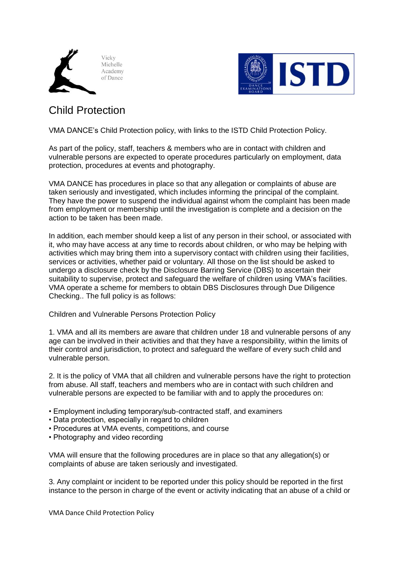



## Child Protection

VMA DANCE's Child Protection policy, with links to the ISTD Child Protection Policy.

As part of the policy, staff, teachers & members who are in contact with children and vulnerable persons are expected to operate procedures particularly on employment, data protection, procedures at events and photography.

VMA DANCE has procedures in place so that any allegation or complaints of abuse are taken seriously and investigated, which includes informing the principal of the complaint. They have the power to suspend the individual against whom the complaint has been made from employment or membership until the investigation is complete and a decision on the action to be taken has been made.

In addition, each member should keep a list of any person in their school, or associated with it, who may have access at any time to records about children, or who may be helping with activities which may bring them into a supervisory contact with children using their facilities, services or activities, whether paid or voluntary. All those on the list should be asked to undergo a disclosure check by the Disclosure Barring Service (DBS) to ascertain their suitability to supervise, protect and safeguard the welfare of children using VMA's facilities. VMA operate a scheme for members to obtain DBS Disclosures through Due Diligence Checking.. The full policy is as follows:

Children and Vulnerable Persons Protection Policy

1. VMA and all its members are aware that children under 18 and vulnerable persons of any age can be involved in their activities and that they have a responsibility, within the limits of their control and jurisdiction, to protect and safeguard the welfare of every such child and vulnerable person.

2. It is the policy of VMA that all children and vulnerable persons have the right to protection from abuse. All staff, teachers and members who are in contact with such children and vulnerable persons are expected to be familiar with and to apply the procedures on:

- Employment including temporary/sub-contracted staff, and examiners
- Data protection, especially in regard to children
- Procedures at VMA events, competitions, and course
- Photography and video recording

VMA will ensure that the following procedures are in place so that any allegation(s) or complaints of abuse are taken seriously and investigated.

3. Any complaint or incident to be reported under this policy should be reported in the first instance to the person in charge of the event or activity indicating that an abuse of a child or

VMA Dance Child Protection Policy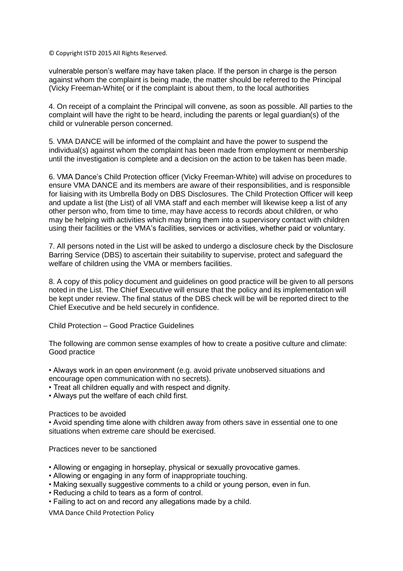© Copyright ISTD 2015 All Rights Reserved.

vulnerable person's welfare may have taken place. If the person in charge is the person against whom the complaint is being made, the matter should be referred to the Principal (Vicky Freeman-White( or if the complaint is about them, to the local authorities

4. On receipt of a complaint the Principal will convene, as soon as possible. All parties to the complaint will have the right to be heard, including the parents or legal guardian(s) of the child or vulnerable person concerned.

5. VMA DANCE will be informed of the complaint and have the power to suspend the individual(s) against whom the complaint has been made from employment or membership until the investigation is complete and a decision on the action to be taken has been made.

6. VMA Dance's Child Protection officer (Vicky Freeman-White) will advise on procedures to ensure VMA DANCE and its members are aware of their responsibilities, and is responsible for liaising with its Umbrella Body on DBS Disclosures. The Child Protection Officer will keep and update a list (the List) of all VMA staff and each member will likewise keep a list of any other person who, from time to time, may have access to records about children, or who may be helping with activities which may bring them into a supervisory contact with children using their facilities or the VMA's facilities, services or activities, whether paid or voluntary.

7. All persons noted in the List will be asked to undergo a disclosure check by the Disclosure Barring Service (DBS) to ascertain their suitability to supervise, protect and safeguard the welfare of children using the VMA or members facilities.

8. A copy of this policy document and guidelines on good practice will be given to all persons noted in the List. The Chief Executive will ensure that the policy and its implementation will be kept under review. The final status of the DBS check will be will be reported direct to the Chief Executive and be held securely in confidence.

Child Protection – Good Practice Guidelines

The following are common sense examples of how to create a positive culture and climate: Good practice

• Always work in an open environment (e.g. avoid private unobserved situations and encourage open communication with no secrets).

• Treat all children equally and with respect and dignity.

• Always put the welfare of each child first.

Practices to be avoided

• Avoid spending time alone with children away from others save in essential one to one situations when extreme care should be exercised.

Practices never to be sanctioned

- Allowing or engaging in horseplay, physical or sexually provocative games.
- Allowing or engaging in any form of inappropriate touching.
- Making sexually suggestive comments to a child or young person, even in fun.
- Reducing a child to tears as a form of control.
- Failing to act on and record any allegations made by a child.

VMA Dance Child Protection Policy